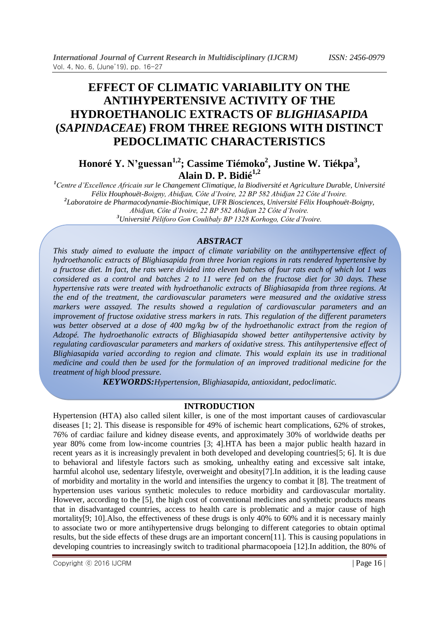# **EFFECT OF CLIMATIC VARIABILITY ON THE ANTIHYPERTENSIVE ACTIVITY OF THE HYDROETHANOLIC EXTRACTS OF** *BLIGHIASAPIDA* **(***SAPINDACEAE***) FROM THREE REGIONS WITH DISTINCT PEDOCLIMATIC CHARACTERISTICS**

**Honoré Y. N'guessan1,2; Cassime Tiémoko<sup>2</sup> , Justine W. Tiékpa<sup>3</sup> , Alain D. P. Bidié1,2**

*<sup>1</sup>Centre d'Excellence Africain sur le Changement Climatique, la Biodiversité et Agriculture Durable, Université Félix Houphouët-Boigny, Abidjan, Côte d'Ivoire, 22 BP 582 Abidjan 22 Côte d'Ivoire. 2 Laboratoire de Pharmacodynamie-Biochimique, UFR Biosciences, Université Félix Houphouët-Boigny, Abidjan, Côte d'Ivoire, 22 BP 582 Abidjan 22 Côte d'Ivoire. <sup>3</sup>Université Péliforo Gon Coulibaly BP 1328 Korhogo, Côte d'Ivoire.*

# *ABSTRACT*

*This study aimed to evaluate the impact of climate variability on the antihypertensive effect of hydroethanolic extracts of Blighiasapida from three Ivorian regions in rats rendered hypertensive by a fructose diet. In fact, the rats were divided into eleven batches of four rats each of which lot 1 was considered as a control and batches 2 to 11 were fed on the fructose diet for 30 days. These hypertensive rats were treated with hydroethanolic extracts of Blighiasapida from three regions. At the end of the treatment, the cardiovascular parameters were measured and the oxidative stress markers were assayed. The results showed a regulation of cardiovascular parameters and an improvement of fructose oxidative stress markers in rats. This regulation of the different parameters was better observed at a dose of 400 mg/kg bw of the hydroethanolic extract from the region of Adzopé. The hydroethanolic extracts of Blighiasapida showed better antihypertensive activity by regulating cardiovascular parameters and markers of oxidative stress. This antihypertensive effect of Blighiasapida varied according to region and climate. This would explain its use in traditional medicine and could then be used for the formulation of an improved traditional medicine for the treatment of high blood pressure.*

*KEYWORDS:Hypertension, Blighiasapida, antioxidant, pedoclimatic.*

# **INTRODUCTION**

Hypertension (HTA) also called silent killer, is one of the most important causes of cardiovascular diseases [1; 2]. This disease is responsible for 49% of ischemic heart complications, 62% of strokes, 76% of cardiac failure and kidney disease events, and approximately 30% of worldwide deaths per year 80% come from low-income countries [3; 4].HTA has been a major public health hazard in recent years as it is increasingly prevalent in both developed and developing countries[5; 6]. It is due to behavioral and lifestyle factors such as smoking, unhealthy eating and excessive salt intake, harmful alcohol use, sedentary lifestyle, overweight and obesity<sup>[7]</sup>. In addition, it is the leading cause of morbidity and mortality in the world and intensifies the urgency to combat it [8]. The treatment of hypertension uses various synthetic molecules to reduce morbidity and cardiovascular mortality. However, according to the [5], the high cost of conventional medicines and synthetic products means that in disadvantaged countries, access to health care is problematic and a major cause of high mortality[9; 10].Also, the effectiveness of these drugs is only 40% to 60% and it is necessary mainly to associate two or more antihypertensive drugs belonging to different categories to obtain optimal results, but the side effects of these drugs are an important concern[11]. This is causing populations in developing countries to increasingly switch to traditional pharmacopoeia [12].In addition, the 80% of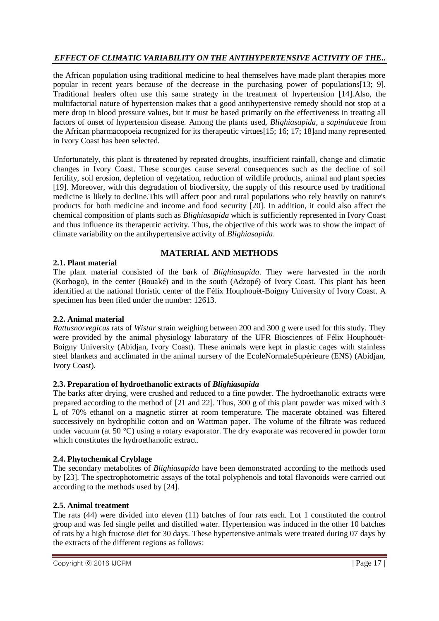the African population using traditional medicine to heal themselves have made plant therapies more popular in recent years because of the decrease in the purchasing power of populations[13; 9]. Traditional healers often use this same strategy in the treatment of hypertension [14].Also, the multifactorial nature of hypertension makes that a good antihypertensive remedy should not stop at a mere drop in blood pressure values, but it must be based primarily on the effectiveness in treating all factors of onset of hypertension disease. Among the plants used, *Blighiasapida*, a *sapindaceae* from the African pharmacopoeia recognized for its therapeutic virtues[15; 16; 17; 18]and many represented in Ivory Coast has been selected.

Unfortunately, this plant is threatened by repeated droughts, insufficient rainfall, change and climatic changes in Ivory Coast. These scourges cause several consequences such as the decline of soil fertility, soil erosion, depletion of vegetation, reduction of wildlife products, animal and plant species [19]. Moreover, with this degradation of biodiversity, the supply of this resource used by traditional medicine is likely to decline.This will affect poor and rural populations who rely heavily on nature's products for both medicine and income and food security [20]. In addition, it could also affect the chemical composition of plants such as *Blighiasapida* which is sufficiently represented in Ivory Coast and thus influence its therapeutic activity. Thus, the objective of this work was to show the impact of climate variability on the antihypertensive activity of *Blighiasapida*.

# **MATERIAL AND METHODS**

# **2.1. Plant material**

The plant material consisted of the bark of *Blighiasapida*. They were harvested in the north (Korhogo), in the center (Bouaké) and in the south (Adzopé) of Ivory Coast. This plant has been identified at the national floristic center of the Félix Houphouët-Boigny University of Ivory Coast. A specimen has been filed under the number: 12613.

### **2.2. Animal material**

*Rattusnorvegicus* rats of *Wistar* strain weighing between 200 and 300 g were used for this study. They were provided by the animal physiology laboratory of the UFR Biosciences of Félix Houphouët-Boigny University (Abidjan, Ivory Coast). These animals were kept in plastic cages with stainless steel blankets and acclimated in the animal nursery of the EcoleNormaleSupérieure (ENS) (Abidjan, Ivory Coast).

### **2.3. Preparation of hydroethanolic extracts of** *Blighiasapida*

The barks after drying, were crushed and reduced to a fine powder. The hydroethanolic extracts were prepared according to the method of [21 and 22]. Thus, 300 g of this plant powder was mixed with 3 L of 70% ethanol on a magnetic stirrer at room temperature. The macerate obtained was filtered successively on hydrophilic cotton and on Wattman paper. The volume of the filtrate was reduced under vacuum (at 50 °C) using a rotary evaporator. The dry evaporate was recovered in powder form which constitutes the hydroethanolic extract.

### **2.4. Phytochemical Cryblage**

The secondary metabolites of *Blighiasapida* have been demonstrated according to the methods used by [23]. The spectrophotometric assays of the total polyphenols and total flavonoids were carried out according to the methods used by [24].

### **2.5. Animal treatment**

The rats (44) were divided into eleven (11) batches of four rats each. Lot 1 constituted the control group and was fed single pellet and distilled water. Hypertension was induced in the other 10 batches of rats by a high fructose diet for 30 days. These hypertensive animals were treated during 07 days by the extracts of the different regions as follows: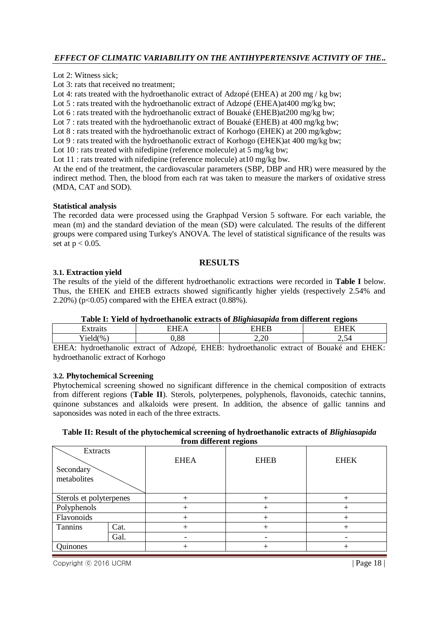Lot 2: Witness sick;

Lot 3: rats that received no treatment;

Lot 4: rats treated with the hydroethanolic extract of Adzopé (EHEA) at 200 mg / kg bw;

Lot 5 : rats treated with the hydroethanolic extract of Adzopé (EHEA)at400 mg/kg bw;

Lot 6 : rats treated with the hydroethanolic extract of Bouaké (EHEB)at200 mg/kg bw;

Lot 7 : rats treated with the hydroethanolic extract of Bouaké (EHEB) at 400 mg/kg bw;

Lot 8 : rats treated with the hydroethanolic extract of Korhogo (EHEK) at 200 mg/kgbw;

Lot 9 : rats treated with the hydroethanolic extract of Korhogo (EHEK) at 400 mg/kg bw;

Lot 10 : rats treated with nifedipine (reference molecule) at 5 mg/kg bw;

Lot 11 : rats treated with nifedipine (reference molecule) at 10 mg/kg bw.

At the end of the treatment, the cardiovascular parameters (SBP, DBP and HR) were measured by the indirect method. Then, the blood from each rat was taken to measure the markers of oxidative stress (MDA, CAT and SOD).

#### **Statistical analysis**

The recorded data were processed using the Graphpad Version 5 software. For each variable, the mean (m) and the standard deviation of the mean (SD) were calculated. The results of the different groups were compared using Turkey's ANOVA. The level of statistical significance of the results was set at  $p < 0.05$ .

#### **RESULTS**

#### **3.1. Extraction yield**

The results of the yield of the different hydroethanolic extractions were recorded in **Table I** below. Thus, the EHEK and EHEB extracts showed significantly higher yields (respectively 2.54% and 2.20%) ( $p<0.05$ ) compared with the EHEA extract (0.88%).

#### **Table I: Yield of hydroethanolic extracts of** *Blighiasapida* **from different regions**

| .                                 | $\overline{\phantom{a}}$ | $\frac{1}{2}$                           | -----                      |
|-----------------------------------|--------------------------|-----------------------------------------|----------------------------|
| (0)<br>$\sim$<br>1101             | $\Omega$<br>, oo         | $\sim$<br>~<br>$\overline{\phantom{a}}$ | ں ۔                        |
| $\cdot$ $\cdot$<br>$\blacksquare$ | $-1$<br>$\sim$           | $\cdot$ $\cdot$                         | $      -$<br>$\sim$ $\sim$ |

EHEA: hydroethanolic extract of Adzopé, EHEB: hydroethanolic extract of Bouaké and EHEK: hydroethanolic extract of Korhogo

#### **3.2. Phytochemical Screening**

Phytochemical screening showed no significant difference in the chemical composition of extracts from different regions (**Table II**). Sterols, polyterpenes, polyphenols, flavonoids, catechic tannins, quinone substances and alkaloids were present. In addition, the absence of gallic tannins and saponosides was noted in each of the three extracts.

#### **Table II: Result of the phytochemical screening of hydroethanolic extracts of** *Blighiasapida*  **from different regions**

| Extracts<br>Secondary<br>metabolites |      | <b>EHEA</b> | <b>EHEB</b> | <b>EHEK</b> |
|--------------------------------------|------|-------------|-------------|-------------|
| Sterols et polyterpenes              |      |             |             |             |
| Polyphenols                          |      |             |             |             |
| Flavonoids                           |      |             |             |             |
| Tannins                              | Cat. |             |             |             |
|                                      | Gal. |             |             |             |
| Quinones                             |      |             |             |             |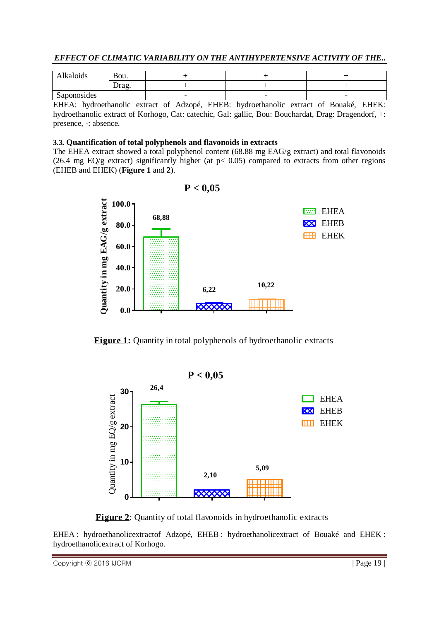| EFFECT OF CLIMATIC VARIABILITY ON THE ANTIHYPERTENSIVE ACTIVITY OF THE |
|------------------------------------------------------------------------|
|------------------------------------------------------------------------|

| $\cdot$ $\cdot$<br>kaloıds. | Bou.                      |                          |                          |                          |
|-----------------------------|---------------------------|--------------------------|--------------------------|--------------------------|
|                             | ص صدا<br>$-$ <b>u</b> de. |                          |                          |                          |
| Saponosides                 |                           | $\overline{\phantom{0}}$ | $\overline{\phantom{0}}$ | $\overline{\phantom{0}}$ |

EHEA: hydroethanolic extract of Adzopé, EHEB: hydroethanolic extract of Bouaké, EHEK: hydroethanolic extract of Korhogo, Cat: catechic, Gal: gallic, Bou: Bouchardat, Drag: Dragendorf, +: presence, -: absence.

### **3.3. Quantification of total polyphenols and flavonoids in extracts**

The EHEA extract showed a total polyphenol content (68.88 mg EAG/g extract) and total flavonoids (26.4 mg EQ/g extract) significantly higher (at  $p < 0.05$ ) compared to extracts from other regions (EHEB and EHEK) (**Figure 1** and **2**).



**P < 0,05**



EHEA : hydroethanolicextractof Adzopé, EHEB : hydroethanolicextract of Bouaké and EHEK : hydroethanolicextract of Korhogo.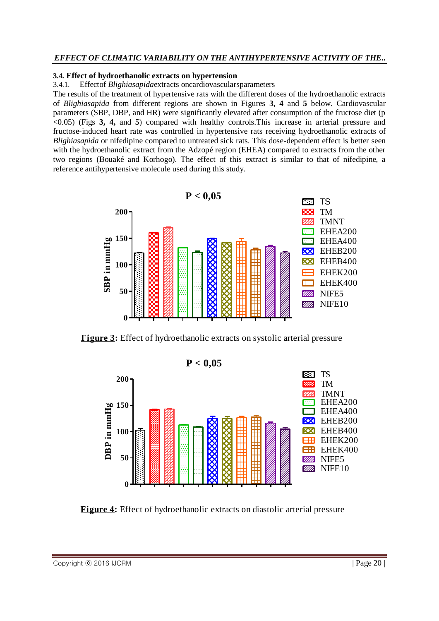#### **3.4. Effect of hydroethanolic extracts on hypertension**

3.4.1. Effectof *Blighiasapida*extracts oncardiovascularsparameters

The results of the treatment of hypertensive rats with the different doses of the hydroethanolic extracts of *Blighiasapida* from different regions are shown in Figures **3, 4** and **5** below. Cardiovascular parameters (SBP, DBP, and HR) were significantly elevated after consumption of the fructose diet (p <0.05) (Figs **3, 4,** and **5**) compared with healthy controls.This increase in arterial pressure and fructose-induced heart rate was controlled in hypertensive rats receiving hydroethanolic extracts of *Blighiasapida* or nifedipine compared to untreated sick rats. This dose-dependent effect is better seen with the hydroethanolic extract from the Adzopé region (EHEA) compared to extracts from the other two regions (Bouaké and Korhogo). The effect of this extract is similar to that of nifedipine, a reference antihypertensive molecule used during this study.



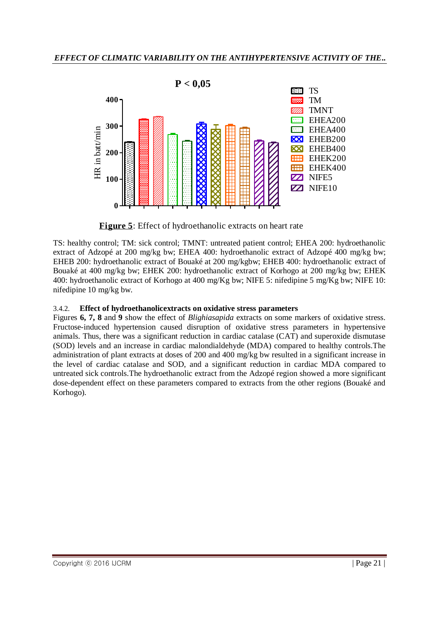

TS: healthy control; TM: sick control; TMNT: untreated patient control; EHEA 200: hydroethanolic extract of Adzopé at 200 mg/kg bw; EHEA 400: hydroethanolic extract of Adzopé 400 mg/kg bw; EHEB 200: hydroethanolic extract of Bouaké at 200 mg/kgbw; EHEB 400: hydroethanolic extract of Bouaké at 400 mg/kg bw; EHEK 200: hydroethanolic extract of Korhogo at 200 mg/kg bw; EHEK 400: hydroethanolic extract of Korhogo at 400 mg/Kg bw; NIFE 5: nifedipine 5 mg/Kg bw; NIFE 10: nifedipine 10 mg/kg bw.

# 3.4.2. **Effect of hydroethanolicextracts on oxidative stress parameters**

Figures **6, 7, 8** and **9** show the effect of *Blighiasapida* extracts on some markers of oxidative stress. Fructose-induced hypertension caused disruption of oxidative stress parameters in hypertensive animals. Thus, there was a significant reduction in cardiac catalase (CAT) and superoxide dismutase (SOD) levels and an increase in cardiac malondialdehyde (MDA) compared to healthy controls.The administration of plant extracts at doses of 200 and 400 mg/kg bw resulted in a significant increase in the level of cardiac catalase and SOD, and a significant reduction in cardiac MDA compared to untreated sick controls.The hydroethanolic extract from the Adzopé region showed a more significant dose-dependent effect on these parameters compared to extracts from the other regions (Bouaké and Korhogo).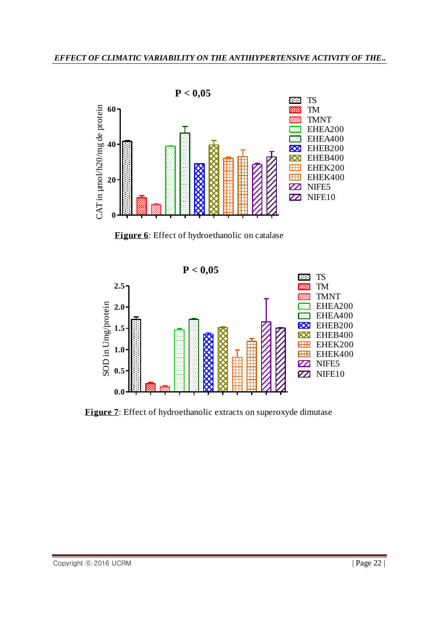

**Figure 6**: Effect of hydroethanolic on catalase

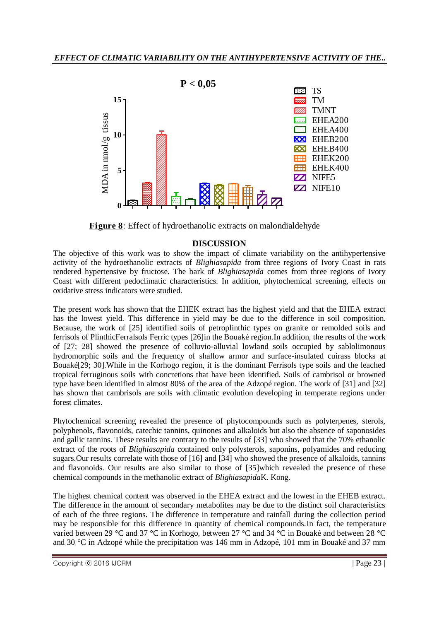

# **DISCUSSION**

The objective of this work was to show the impact of climate variability on the antihypertensive activity of the hydroethanolic extracts of *Blighiasapida* from three regions of Ivory Coast in rats rendered hypertensive by fructose. The bark of *Blighiasapida* comes from three regions of Ivory Coast with different pedoclimatic characteristics. In addition, phytochemical screening, effects on oxidative stress indicators were studied.

The present work has shown that the EHEK extract has the highest yield and that the EHEA extract has the lowest yield. This difference in yield may be due to the difference in soil composition. Because, the work of [25] identified soils of petroplinthic types on granite or remolded soils and ferrisols of PlinthicFerralsols Ferric types [26]in the Bouaké region.In addition, the results of the work of [27; 28] showed the presence of colluvio-alluvial lowland soils occupied by sablolimonous hydromorphic soils and the frequency of shallow armor and surface-insulated cuirass blocks at Bouaké[29; 30].While in the Korhogo region, it is the dominant Ferrisols type soils and the leached tropical ferruginous soils with concretions that have been identified. Soils of cambrisol or browned type have been identified in almost 80% of the area of the Adzopé region. The work of [31] and [32] has shown that cambrisols are soils with climatic evolution developing in temperate regions under forest climates.

Phytochemical screening revealed the presence of phytocompounds such as polyterpenes, sterols, polyphenols, flavonoids, catechic tannins, quinones and alkaloids but also the absence of saponosides and gallic tannins. These results are contrary to the results of [33] who showed that the 70% ethanolic extract of the roots of *Blighiasapida* contained only polysterols, saponins, polyamides and reducing sugars.Our results correlate with those of [16] and [34] who showed the presence of alkaloids, tannins and flavonoids. Our results are also similar to those of [35]which revealed the presence of these chemical compounds in the methanolic extract of *Blighiasapida*K. Kong.

The highest chemical content was observed in the EHEA extract and the lowest in the EHEB extract. The difference in the amount of secondary metabolites may be due to the distinct soil characteristics of each of the three regions. The difference in temperature and rainfall during the collection period may be responsible for this difference in quantity of chemical compounds.In fact, the temperature varied between 29 °C and 37 °C in Korhogo, between 27 °C and 34 °C in Bouaké and between 28 °C and 30 °C in Adzopé while the precipitation was 146 mm in Adzopé, 101 mm in Bouaké and 37 mm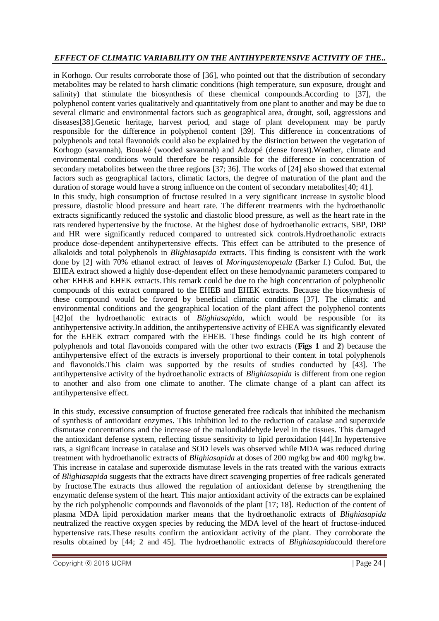in Korhogo. Our results corroborate those of [36], who pointed out that the distribution of secondary metabolites may be related to harsh climatic conditions (high temperature, sun exposure, drought and salinity) that stimulate the biosynthesis of these chemical compounds.According to [37], the polyphenol content varies qualitatively and quantitatively from one plant to another and may be due to several climatic and environmental factors such as geographical area, drought, soil, aggressions and diseases[38].Genetic heritage, harvest period, and stage of plant development may be partly responsible for the difference in polyphenol content [39]. This difference in concentrations of polyphenols and total flavonoids could also be explained by the distinction between the vegetation of Korhogo (savannah), Bouaké (wooded savannah) and Adzopé (dense forest).Weather, climate and environmental conditions would therefore be responsible for the difference in concentration of secondary metabolites between the three regions [37; 36]. The works of [24] also showed that external factors such as geographical factors, climatic factors, the degree of maturation of the plant and the duration of storage would have a strong influence on the content of secondary metabolites[40; 41]. In this study, high consumption of fructose resulted in a very significant increase in systolic blood pressure, diastolic blood pressure and heart rate. The different treatments with the hydroethanolic extracts significantly reduced the systolic and diastolic blood pressure, as well as the heart rate in the rats rendered hypertensive by the fructose. At the highest dose of hydroethanolic extracts, SBP, DBP and HR were significantly reduced compared to untreated sick controls.Hydroethanolic extracts produce dose-dependent antihypertensive effects. This effect can be attributed to the presence of alkaloids and total polyphenols in *Blighiasapida* extracts. This finding is consistent with the work done by [2] with 70% ethanol extract of leaves of *Moringastenopetala* (Barker f.) Cufod. But, the EHEA extract showed a highly dose-dependent effect on these hemodynamic parameters compared to other EHEB and EHEK extracts.This remark could be due to the high concentration of polyphenolic compounds of this extract compared to the EHEB and EHEK extracts. Because the biosynthesis of these compound would be favored by beneficial climatic conditions [37]. The climatic and environmental conditions and the geographical location of the plant affect the polyphenol contents [42]of the hydroethanolic extracts of *Blighiasapida*, which would be responsible for its antihypertensive activity.In addition, the antihypertensive activity of EHEA was significantly elevated for the EHEK extract compared with the EHEB. These findings could be its high content of polyphenols and total flavonoids compared with the other two extracts (**Figs 1** and **2**) because the antihypertensive effect of the extracts is inversely proportional to their content in total polyphenols and flavonoids.This claim was supported by the results of studies conducted by [43]. The antihypertensive activity of the hydroethanolic extracts of *Blighiasapida* is different from one region to another and also from one climate to another. The climate change of a plant can affect its antihypertensive effect.

In this study, excessive consumption of fructose generated free radicals that inhibited the mechanism of synthesis of antioxidant enzymes. This inhibition led to the reduction of catalase and superoxide dismutase concentrations and the increase of the malondialdehyde level in the tissues. This damaged the antioxidant defense system, reflecting tissue sensitivity to lipid peroxidation [44].In hypertensive rats, a significant increase in catalase and SOD levels was observed while MDA was reduced during treatment with hydroethanolic extracts of *Blighiasapida* at doses of 200 mg/kg bw and 400 mg/kg bw. This increase in catalase and superoxide dismutase levels in the rats treated with the various extracts of *Blighiasapida* suggests that the extracts have direct scavenging properties of free radicals generated by fructose.The extracts thus allowed the regulation of antioxidant defense by strengthening the enzymatic defense system of the heart. This major antioxidant activity of the extracts can be explained by the rich polyphenolic compounds and flavonoids of the plant [17; 18]. Reduction of the content of plasma MDA lipid peroxidation marker means that the hydroethanolic extracts of *Blighiasapida* neutralized the reactive oxygen species by reducing the MDA level of the heart of fructose-induced hypertensive rats.These results confirm the antioxidant activity of the plant. They corroborate the results obtained by [44; 2 and 45]. The hydroethanolic extracts of *Blighiasapida*could therefore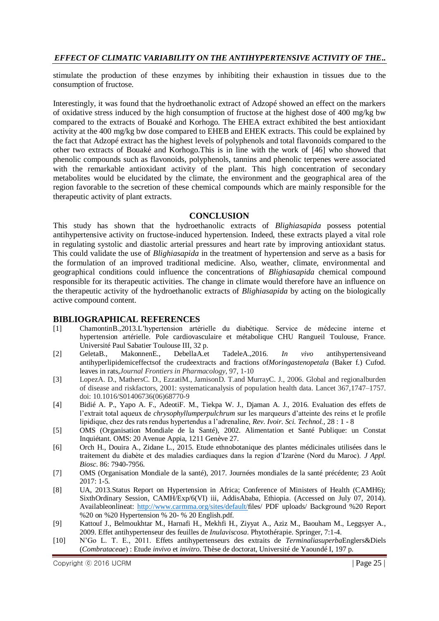stimulate the production of these enzymes by inhibiting their exhaustion in tissues due to the consumption of fructose.

Interestingly, it was found that the hydroethanolic extract of Adzopé showed an effect on the markers of oxidative stress induced by the high consumption of fructose at the highest dose of 400 mg/kg bw compared to the extracts of Bouaké and Korhogo. The EHEA extract exhibited the best antioxidant activity at the 400 mg/kg bw dose compared to EHEB and EHEK extracts. This could be explained by the fact that Adzopé extract has the highest levels of polyphenols and total flavonoids compared to the other two extracts of Bouaké and Korhogo.This is in line with the work of [46] who showed that phenolic compounds such as flavonoids, polyphenols, tannins and phenolic terpenes were associated with the remarkable antioxidant activity of the plant. This high concentration of secondary metabolites would be elucidated by the climate, the environment and the geographical area of the region favorable to the secretion of these chemical compounds which are mainly responsible for the therapeutic activity of plant extracts.

#### **CONCLUSION**

This study has shown that the hydroethanolic extracts of *Blighiasapida* possess potential antihypertensive activity on fructose-induced hypertension. Indeed, these extracts played a vital role in regulating systolic and diastolic arterial pressures and heart rate by improving antioxidant status. This could validate the use of *Blighiasapida* in the treatment of hypertension and serve as a basis for the formulation of an improved traditional medicine. Also, weather, climate, environmental and geographical conditions could influence the concentrations of *Blighiasapida* chemical compound responsible for its therapeutic activities. The change in climate would therefore have an influence on the therapeutic activity of the hydroethanolic extracts of *Blighiasapida* by acting on the biologically active compound content.

### **BIBLIOGRAPHICAL REFERENCES**

- [1] ChamontinB.,2013.L'hypertension artérielle du diabétique. Service de médecine interne et hypertension artérielle. Pole cardiovasculaire et métabolique CHU Rangueil Toulouse, France. Université Paul Sabatier Toulouse III, 32 p.
- [2] GeletaB., MakonnenE., DebellaA.et TadeleA.,2016. *In vivo* antihypertensiveand antihyperlipidemiceffectsof the crudeextracts and fractions of*Moringastenopetala* (Baker f.) Cufod. leaves in rats,*Journal Frontiers in Pharmacology*, 97, 1-10
- [3] LopezA. D., MathersC. D., EzzatiM., JamisonD. T.and MurrayC. J., 2006. Global and regionalburden of disease and riskfactors, 2001: systematicanalysis of population health data. Lancet 367,1747–1757. doi: 10.1016/S01406736(06)68770-9
- [4] Bidié A. P., Yapo A. F., AdeotiF. M., Tiekpa W. J., Djaman A. J., 2016. Evaluation des effets de l'extrait total aqueux de *chrysophyllumperpulchrum* sur les marqueurs d'atteinte des reins et le profile lipidique, chez des rats rendus hypertendus a l'adrenaline, *Rev. Ivoir. Sci. Technol.,* 28 : 1 - 8
- [5] OMS (Organisation Mondiale de la Santé), 2002. Alimentation et Santé Publique: un Constat Inquiétant. OMS: 20 Avenue Appia, 1211 Genève 27.
- [6] Orch H., Douira A., Zidane L., 2015. Etude ethnobotanique des plantes médicinales utilisées dans le traitement du diabète et des maladies cardiaques dans la region d'Izarène (Nord du Maroc). *J Appl. Biosc*. 86: 7940-7956.
- [7] OMS (Organisation Mondiale de la santé), 2017. Journées mondiales de la santé précédente; 23 Août 2017: 1-5.
- [8] UA, 2013.Status Report on Hypertension in Africa; Conference of Ministers of Health (CAMH6); SixthOrdinary Session, CAMH/Exp/6(VI) iii, AddisAbaba, Ethiopia. (Accessed on July 07, 2014). Availableonlineat: [http://www.carmma.org/sites/default/fi](http://www.carmma.org/sites/default/)les/ PDF uploads/ Background %20 Report %20 on %20 Hypertension % 20- % 20 English.pdf.
- [9] Kattouf J., Belmoukhtar M., Harnafi H., Mekhfi H., Ziyyat A., Aziz M., Baouham M., Leggsyer A., 2009. Effet antihypertenseur des feuilles de *Inulaviscosa*. Phytothérapie. Springer, 7:1-4.
- [10] N'Go L. T. E., 2011. Effets antihypertenseurs des extraits de *Terminaliasuperba*Englers&Diels (*Combrataceae*) : Etude *invivo* et *invitro*. Thèse de doctorat, Université de Yaoundé I, 197 p.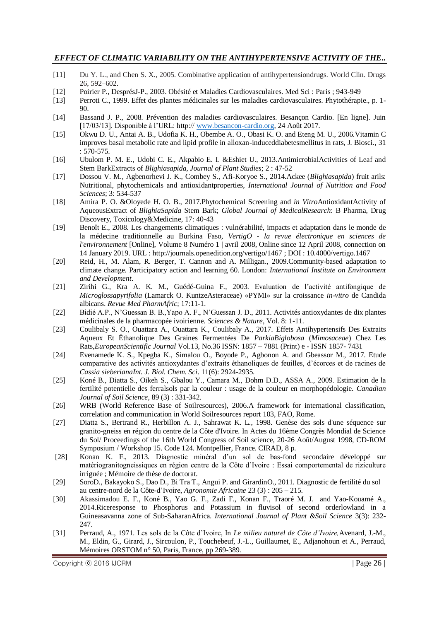- [11] Du Y. L., and Chen S. X., 2005. Combinative application of antihypertensiondrugs. World Clin. Drugs 26, 592–602.
- [12] Poirier P., DesprésJ-P., 2003. Obésité et Maladies Cardiovasculaires. Med Sci : Paris ; 943-949
- [13] Perroti C., 1999. Effet des plantes médicinales sur les maladies cardiovasculaires. Phytothérapie., p. 1- 90.
- [14] Bassand J. P., 2008. Prévention des maladies cardiovasculaires. Besançon Cardio. [En ligne]. Juin [17/03/13]. Disponible à l'URL: http:// [www.besancon-cardio.org,](http://www.besancon-cardio.org/) 24 Août 2017.
- [15] Okwu D. U., Antai A. B., Udofia K. H., Obembe A. O., Obasi K. O. and Eteng M. U., 2006.Vitamin C improves basal metabolic rate and lipid profile in alloxan-induceddiabetesmellitus in rats, J. Biosci., 31 : 570-575.
- [16] Ubulom P. M. E., Udobi C. E., Akpabio E. I. &Eshiet U., 2013.AntimicrobialActivities of Leaf and Stem BarkExtracts of *Blighiasapida, Journal of Plant Studies*; 2 : 47-52
- [17] Dossou V. M., Agbenorhevi J. K., Combey S., Afi-Koryoe S., 2014.Ackee (*Blighiasapida*) fruit arils: Nutritional, phytochemicals and antioxidantproperties, *International Journal of Nutrition and Food Sciences*; 3: 534-537
- [18] Amira P. O. &Oloyede H. O. B., 2017.Phytochemical Screening and *in Vitro*AntioxidantActivity of AqueousExtract of *BlighiaSapida* Stem Bark; *Global Journal of MedicalResearch*: B Pharma, Drug Discovery, Toxicology&Medicine, 17: 40-43
- [19] Benoît E., 2008. Les changements climatiques : vulnérabilité, impacts et adaptation dans le monde de la médecine traditionnelle au Burkina Faso, *VertigO - la revue électronique en sciences de l'environnement* [Online], Volume 8 Numéro 1 | avril 2008, Online since 12 April 2008, connection on 14 January 2019. URL : http://journals.openedition.org/vertigo/1467 ; DOI : 10.4000/vertigo.1467
- [20] Reid, H., M. Alam, R. Berger, T. Cannon and A. Milligan., 2009.Community-based adaptation to climate change. Participatory action and learning 60. London: *International Institute on Environment and Development*.
- [21] Zirihi G., Kra A. K. M., Guédé-Guina F., 2003. Evaluation de l'activité antifongique de *Microglossapyrifolia* (Lamarck O. KuntzeAsteraceae) «PYMI» sur la croissance *in-vitro* de Candida albicans. *Revue Med PharmAfric*; 17:11-1.
- [22] Bidié A.P., N'Guessan B. B.,Yapo A. F., N'Guessan J. D., 2011. Activités antioxydantes de dix plantes médicinales de la pharmacopée ivoirienne. *Sciences & Nature*, Vol. 8: 1-11.
- [23] Coulibaly S. O., Ouattara A., Ouattara K., Coulibaly A., 2017. Effets Antihypertensifs Des Extraits Aqueux Et Éthanolique Des Graines Fermentées De *ParkiaBiglobosa* (*Mimosaceae*) Chez Les Rats,*EuropeanScientific Journal* Vol.13, No.36 ISSN: 1857 – 7881 (Print) e - ISSN 1857- 7431
- [24] Evenamede K. S., Kpegba K., Simalou O., Boyode P., Agbonon A. and Gbeassor M., 2017. Etude comparative des activités antioxydantes d'extraits éthanoliques de feuilles, d'écorces et de racines de *Cassia sieberianaInt. J. Biol. Chem. Sci*. 11(6): 2924-2935.
- [25] Koné B., Diatta S., Oikeh S., Gbalou Y., Camara M., Dohm D.D., ASSA A., 2009. Estimation de la fertilité potentielle des ferralsols par la couleur : usage de la couleur en morphopédologie. *Canadian Journal of Soil Science*, 89 (3) : 331-342.
- [26] WRB (World Reference Base of Soilresources), 2006.A framework for international classification, correlation and communication in World Soilresources report 103, FAO, Rome.
- [27] Diatta S., Bertrand R., Herbillon A. J., Sahrawat K. L., 1998. Genèse des sols d'une séquence sur granito-gneiss en région du centre de la Côte d'Ivoire. In Actes du 16ème Congrès Mondial de Science du Sol/ Proceedings of the 16th World Congress of Soil science, 20-26 Août/August 1998, CD-ROM Symposium / Workshop 15. Code 124. Montpellier, France. CIRAD, 8 p.
- [28] Konan K. F., 2013. Diagnostic minéral d'un sol de bas-fond secondaire développé sur matériogranitogneissiques en région centre de la Côte d'Ivoire : Essai comportemental de riziculture irriguée ; Mémoire de thèse de doctorat.
- [29] SoroD., Bakayoko S., Dao D., Bi Tra T., Angui P. and GirardinO., 2011. Diagnostic de fertilité du sol au centre-nord de la Côte-d'Ivoire, *Agronomie Africaine* 23 (3) : 205 – 215.
- [30] Akassimadou E. F., Koné B., Yao G. F., Zadi F., Konan F., Traoré M. J. and Yao-Kouamé A., 2014.Riceresponse to Phosphorus and Potassium in fluvisol of second orderlowland in a Guineasavanna zone of Sub-SaharanAfrica. *International Journal of Plant &Soil Science* 3(3): 232- 247.
- [31] Perraud, A., 1971. Les sols de la Côte d'Ivoire, In *Le milieu naturel de Côte d'Ivoire,*Avenard, J.-M., M., Eldin, G., Girard, J., Sircoulon, P., Touchebeuf, J.-L., Guillaumet, E., Adjanohoun et A., Perraud, Mémoires ORSTOM n° 50, Paris, France, pp 269-389.